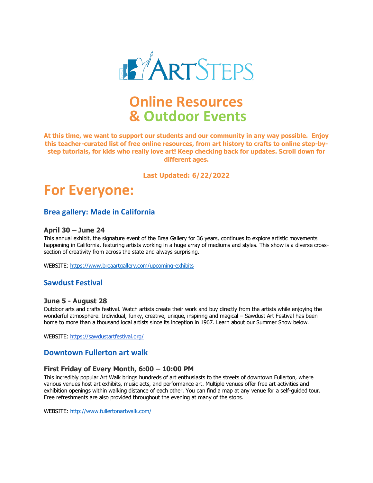

## **Online Resources & Outdoor Events**

**At this time, we want to support our students and our community in any way possible. Enjoy this teacher-curated list of free online resources, from art history to crafts to online step-bystep tutorials, for kids who really love art! Keep checking back for updates. Scroll down for different ages.**

#### **Last Updated: 6/22/2022**

## **For Everyone:**

### **Brea gallery: Made in California**

#### **April 30 – June 24**

This annual exhibit, the signature event of the Brea Gallery for 36 years, continues to explore artistic movements happening in California, featuring artists working in a huge array of mediums and styles. This show is a diverse crosssection of creativity from across the state and always surprising.

WEBSITE:<https://www.breaartgallery.com/upcoming-exhibits>

### **Sawdust Festival**

#### **June 5 - August 28**

Outdoor arts and crafts festival. Watch artists create their work and buy directly from the artists while enjoying the wonderful atmosphere. Individual, funky, creative, unique, inspiring and magical – Sawdust Art Festival has been home to more than a thousand local artists since its inception in 1967. Learn about our Summer Show below.

WEBSITE:<https://sawdustartfestival.org/>

#### **Downtown Fullerton art walk**

#### **First Friday of Every Month, 6:00 – 10:00 PM**

This incredibly popular Art Walk brings hundreds of art enthusiasts to the streets of downtown Fullerton, where various venues host art exhibits, music acts, and performance art. Multiple venues offer free art activities and exhibition openings within walking distance of each other. You can find a map at any venue for a self-guided tour. Free refreshments are also provided throughout the evening at many of the stops.

WEBSITE:<http://www.fullertonartwalk.com/>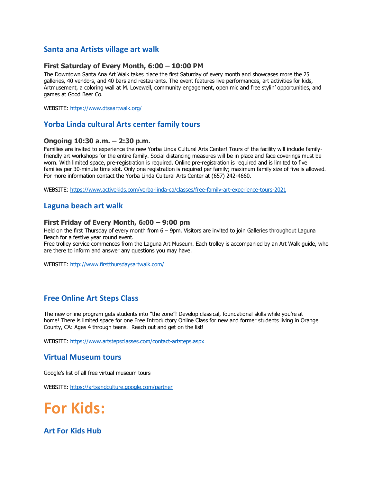## **Santa ana Artists village art walk**

#### **First Saturday of Every Month, 6:00 – 10:00 PM**

The [Downtown Santa Ana Art Walk](https://www.dtsaartwalk.org/) takes place the first Saturday of every month and showcases more the 25 galleries, 40 vendors, and 40 bars and restaurants. The event features live performances, art activities for kids, Artmusement, a coloring wall at M. Lovewell, community engagement, open mic and free stylin' opportunities, and games at Good Beer Co.

WEBSITE:<https://www.dtsaartwalk.org/>

## **Yorba Linda cultural Arts center family tours**

#### **Ongoing 10:30 a.m. – 2:30 p.m.**

Families are invited to experience the new Yorba Linda Cultural Arts Center! Tours of the facility will include familyfriendly art workshops for the entire family. Social distancing measures will be in place and face coverings must be worn. With limited space, pre-registration is required. Online pre-registration is required and is limited to five families per 30-minute time slot. Only one registration is required per family; maximum family size of five is allowed. For more information contact the Yorba Linda Cultural Arts Center at (657) 242-4660.

WEBSITE:<https://www.activekids.com/yorba-linda-ca/classes/free-family-art-experience-tours-2021>

### **Laguna beach art walk**

#### **First Friday of Every Month, 6:00 – 9:00 pm**

Held on the first Thursday of every month from 6 – 9pm. Visitors are invited to join Galleries throughout Laguna Beach for a festive year round event.

Free trolley service commences from the Laguna Art Museum. Each trolley is accompanied by an Art Walk guide, who are there to inform and answer any questions you may have.

WEBSITE:<http://www.firstthursdaysartwalk.com/>

## **Free Online Art Steps Class**

The new online program gets students into "the zone"! Develop classical, foundational skills while you're at home! There is limited space for one Free Introductory Online Class for new and former students living in Orange County, CA: Ages 4 through teens. Reach out and get on the list!

WEBSITE: <https://www.artstepsclasses.com/contact-artsteps.aspx>

#### **Virtual Museum tours**

Google's list of all free virtual museum tours

WEBSITE:<https://artsandculture.google.com/partner>

## **For Kids:**

#### **Art For Kids Hub**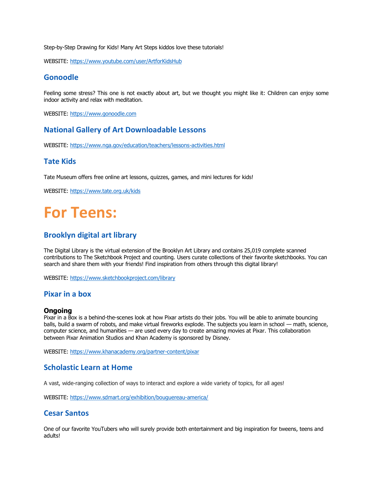Step-by-Step Drawing for Kids! Many Art Steps kiddos love these tutorials!

WEBSITE:<https://www.youtube.com/user/ArtforKidsHub>

## **Gonoodle**

Feeling some stress? This one is not exactly about art, but we thought you might like it: Children can enjoy some indoor activity and relax with meditation.

WEBSITE: [https://www.gonoodle.com](https://www.gonoodle.com/)

## **National Gallery of Art Downloadable Lessons**

WEBSITE:<https://www.nga.gov/education/teachers/lessons-activities.html>

## **Tate Kids**

Tate Museum offers free online art lessons, quizzes, games, and mini lectures for kids!

WEBSITE: <https://www.tate.org.uk/kids>

# **For Teens:**

## **Brooklyn digital art library**

The Digital Library is the virtual extension of the Brooklyn Art Library and contains 25,019 complete scanned contributions to The Sketchbook Project and counting. Users curate collections of their favorite sketchbooks. You can search and share them with your friends! Find inspiration from others through this digital library!

WEBSITE:<https://www.sketchbookproject.com/library>

## **Pixar in a box**

#### **Ongoing**

Pixar in a Box is a behind-the-scenes look at how Pixar artists do their jobs. You will be able to animate bouncing balls, build a swarm of robots, and make virtual fireworks explode. The subjects you learn in school — math, science, computer science, and humanities — are used every day to create amazing movies at Pixar. This collaboration between Pixar Animation Studios and Khan Academy is sponsored by Disney.

WEBSITE:<https://www.khanacademy.org/partner-content/pixar>

## **Scholastic Learn at Home**

A vast, wide-ranging collection of ways to interact and explore a wide variety of topics, for all ages!

WEBSITE:<https://www.sdmart.org/exhibition/bouguereau-america/>

#### **Cesar Santos**

One of our favorite YouTubers who will surely provide both entertainment and big inspiration for tweens, teens and adults!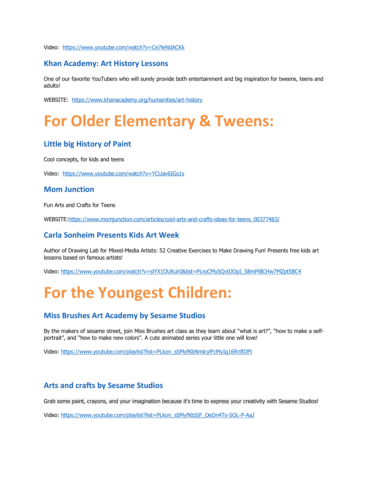Video: <https://www.youtube.com/watch?v=Ce7leNdACKk>

## **Khan Academy: Art History Lessons**

One of our favorite YouTubers who will surely provide both entertainment and big inspiration for tweens, teens and adults!

WEBSITE: <https://www.khanacademy.org/humanities/art-history>

# **For Older Elementary & Tweens:**

## **Little big History of Paint**

Cool concepts, for kids and teens

Video: <https://www.youtube.com/watch?v=YCUav6IGs1s>

#### **Mom Junction**

Fun Arts and Crafts for Teens

WEBSITE[:https://www.momjunction.com/articles/cool-arts-and-crafts-ideas-for-teens\\_00377483/](https://www.momjunction.com/articles/cool-arts-and-crafts-ideas-for-teens_00377483/)

#### **Carla Sonheim Presents Kids Art Week**

Author of Drawing Lab for Mixed-Media Artists: 52 Creative Exercises to Make Drawing Fun! Presents free kids art lessons based on famous artists!

Video: [https://www.youtube.com/watch?v=slYX1OUKuhI&list=PLroCMySQv0JOpI\\_S8mPiBCHw7MZpt5BC4](https://www.youtube.com/watch?v=slYX1OUKuhI&list=PLroCMySQv0JOpI_S8mPiBCHw7MZpt5BC4)

# **For the Youngest Children:**

## **Miss Brushes Art Academy by Sesame Studios**

By the makers of sesame street, join Miss Brushes art class as they learn about "what is art?", "how to make a selfportrait", and "how to make new colors". A cute animated series your little one will love!

Video: https://www.youtube.com/playlist?list=PLkon\_sSMyfKbNmlcylFcMyIq16Rnf0JFt

#### **Arts and crafts by Sesame Studios**

Grab some paint, crayons, and your imagination because it's time to express your creativity with Sesame Studios!

Video: [https://www.youtube.com/playlist?list=PLkon\\_sSMyfKbSjF\\_OeDn4Ts-SOL-P-AaJ](https://www.youtube.com/playlist?list=PLkon_sSMyfKbSjF_OeDn4Ts-SOL-P-AaJ)